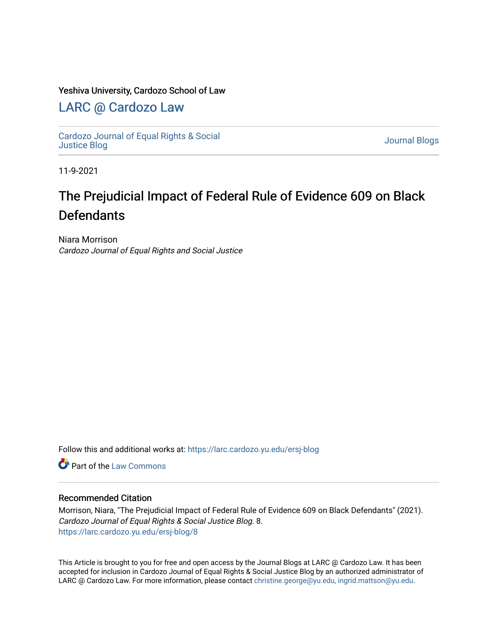### Yeshiva University, Cardozo School of Law

### [LARC @ Cardozo Law](https://larc.cardozo.yu.edu/)

[Cardozo Journal of Equal Rights & Social](https://larc.cardozo.yu.edu/ersj-blog)  [Justice Blog](https://larc.cardozo.yu.edu/ersj-blog) [Journal Blogs](https://larc.cardozo.yu.edu/journal-blogs) 

11-9-2021

## The Prejudicial Impact of Federal Rule of Evidence 609 on Black **Defendants**

Niara Morrison Cardozo Journal of Equal Rights and Social Justice

Follow this and additional works at: [https://larc.cardozo.yu.edu/ersj-blog](https://larc.cardozo.yu.edu/ersj-blog?utm_source=larc.cardozo.yu.edu%2Fersj-blog%2F8&utm_medium=PDF&utm_campaign=PDFCoverPages) 

**C** Part of the [Law Commons](http://network.bepress.com/hgg/discipline/578?utm_source=larc.cardozo.yu.edu%2Fersj-blog%2F8&utm_medium=PDF&utm_campaign=PDFCoverPages)

#### Recommended Citation

Morrison, Niara, "The Prejudicial Impact of Federal Rule of Evidence 609 on Black Defendants" (2021). Cardozo Journal of Equal Rights & Social Justice Blog. 8. [https://larc.cardozo.yu.edu/ersj-blog/8](https://larc.cardozo.yu.edu/ersj-blog/8?utm_source=larc.cardozo.yu.edu%2Fersj-blog%2F8&utm_medium=PDF&utm_campaign=PDFCoverPages)

This Article is brought to you for free and open access by the Journal Blogs at LARC @ Cardozo Law. It has been accepted for inclusion in Cardozo Journal of Equal Rights & Social Justice Blog by an authorized administrator of LARC @ Cardozo Law. For more information, please contact [christine.george@yu.edu, ingrid.mattson@yu.edu](mailto:christine.george@yu.edu,%20ingrid.mattson@yu.edu).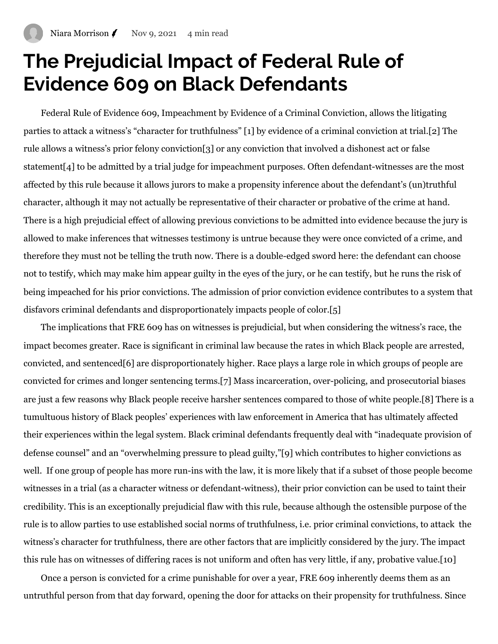# **The Prejudicial Impact of Federal Rule of Evidence 609 on Black Defendants**

Federal Rule of Evidence 609, Impeachment by Evidence of a Criminal Conviction, allows the litigating parties to attack a witness's "character for truthfulness" [\[1\]](https://manage.wix.com/dashboard/4048580a-6877-4460-b15c-ac5c8ebbccbb/blog/create-post#_ftn1) by evidence of a criminal conviction at trial.[\[2\]](https://manage.wix.com/dashboard/4048580a-6877-4460-b15c-ac5c8ebbccbb/blog/create-post#_ftn2) The rule allows a witness's prior felony conviction[\[3\]](https://manage.wix.com/dashboard/4048580a-6877-4460-b15c-ac5c8ebbccbb/blog/create-post#_ftn3) or any conviction that involved a dishonest act or false statement[\[4\]](https://manage.wix.com/dashboard/4048580a-6877-4460-b15c-ac5c8ebbccbb/blog/create-post#_ftn4) to be admitted by a trial judge for impeachment purposes. Often defendant-witnesses are the most affected by this rule because it allows jurors to make a propensity inference about the defendant's (un)truthful character, although it may not actually be representative of their character or probative of the crime at hand. There is a high prejudicial effect of allowing previous convictions to be admitted into evidence because the jury is allowed to make inferences that witnesses testimony is untrue because they were once convicted of a crime, and therefore they must not be telling the truth now. There is a double-edged sword here: the defendant can choose not to testify, which may make him appear guilty in the eyes of the jury, or he can testify, but he runs the risk of being impeached for his prior convictions. The admission of prior conviction evidence contributes to a system that disfavors criminal defendants and disproportionately impacts people of color.[\[5\]](https://manage.wix.com/dashboard/4048580a-6877-4460-b15c-ac5c8ebbccbb/blog/create-post#_ftn5)

The implications that FRE 609 has on witnesses is prejudicial, but when considering the witness's race, the impact becomes greater. Race is significant in criminal law because the rates in which Black people are arrested, convicted, and sentenced[\[6\]](https://manage.wix.com/dashboard/4048580a-6877-4460-b15c-ac5c8ebbccbb/blog/create-post#_ftn6) are disproportionately higher. Race plays a large role in which groups of people are convicted for crimes and longer sentencing terms[.\[7\]](https://manage.wix.com/dashboard/4048580a-6877-4460-b15c-ac5c8ebbccbb/blog/create-post#_ftn7) Mass incarceration, over-policing, and prosecutorial biases are just a few reasons why Black people receive harsher sentences compared to those of white people.[\[8\]](https://manage.wix.com/dashboard/4048580a-6877-4460-b15c-ac5c8ebbccbb/blog/create-post#_ftn8) There is a tumultuous history of Black peoples' experiences with law enforcement in America that has ultimately affected their experiences within the legal system. Black criminal defendants frequently deal with "inadequate provision of defense counsel" and an "overwhelming pressure to plead guilty,"[\[9\]](https://manage.wix.com/dashboard/4048580a-6877-4460-b15c-ac5c8ebbccbb/blog/create-post#_ftn9) which contributes to higher convictions as well. If one group of people has more run-ins with the law, it is more likely that if a subset of those people become witnesses in a trial (as a character witness or defendant-witness), their prior conviction can be used to taint their credibility. This is an exceptionally prejudicial flaw with this rule, because although the ostensible purpose of the rule is to allow parties to use established social norms of truthfulness, i.e. prior criminal convictions, to attack the witness's character for truthfulness, there are other factors that are implicitly considered by the jury. The impact this rule has on witnesses of differing races is not uniform and often has very little, if any, probative value[.\[10\]](https://manage.wix.com/dashboard/4048580a-6877-4460-b15c-ac5c8ebbccbb/blog/create-post#_ftn10)

Once a person is convicted for a crime punishable for over a year, FRE 609 inherently deems them as an untruthful person from that day forward, opening the door for attacks on their propensity for truthfulness. Since